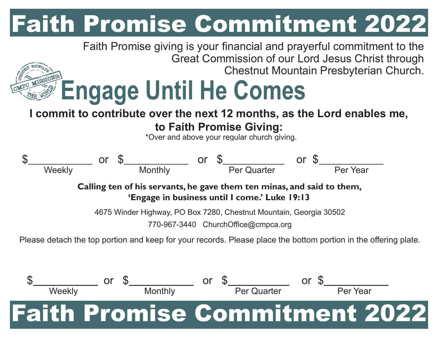## Faith Promise Commitment 2022

Faith Promise giving is your financial and prayerful commitment to the Great Commission of our Lord Jesus Christ through Chestnut Mountain Presbyterian Church.

## **Engage Until He Comes**

## **I commit to contribute over the next 12 months, as the Lord enables me, to Faith Promise Giving:**

\*Over and above your regular church giving.